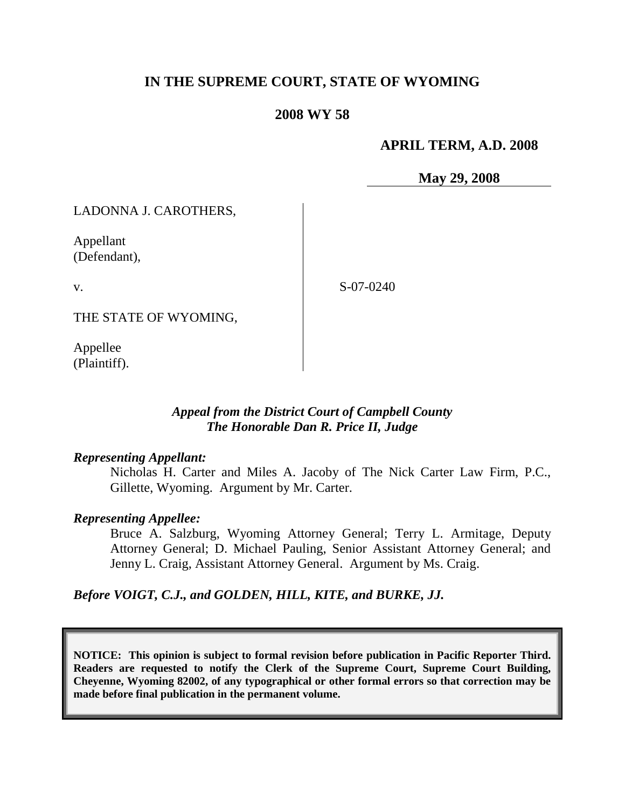## **IN THE SUPREME COURT, STATE OF WYOMING**

### **2008 WY 58**

## **APRIL TERM, A.D. 2008**

**May 29, 2008**

LADONNA J. CAROTHERS,

Appellant (Defendant),

v.

S-07-0240

THE STATE OF WYOMING,

Appellee (Plaintiff).

## *Appeal from the District Court of Campbell County The Honorable Dan R. Price II, Judge*

#### *Representing Appellant:*

Nicholas H. Carter and Miles A. Jacoby of The Nick Carter Law Firm, P.C., Gillette, Wyoming. Argument by Mr. Carter.

### *Representing Appellee:*

Bruce A. Salzburg, Wyoming Attorney General; Terry L. Armitage, Deputy Attorney General; D. Michael Pauling, Senior Assistant Attorney General; and Jenny L. Craig, Assistant Attorney General. Argument by Ms. Craig.

*Before VOIGT, C.J., and GOLDEN, HILL, KITE, and BURKE, JJ.*

**NOTICE: This opinion is subject to formal revision before publication in Pacific Reporter Third. Readers are requested to notify the Clerk of the Supreme Court, Supreme Court Building, Cheyenne, Wyoming 82002, of any typographical or other formal errors so that correction may be made before final publication in the permanent volume.**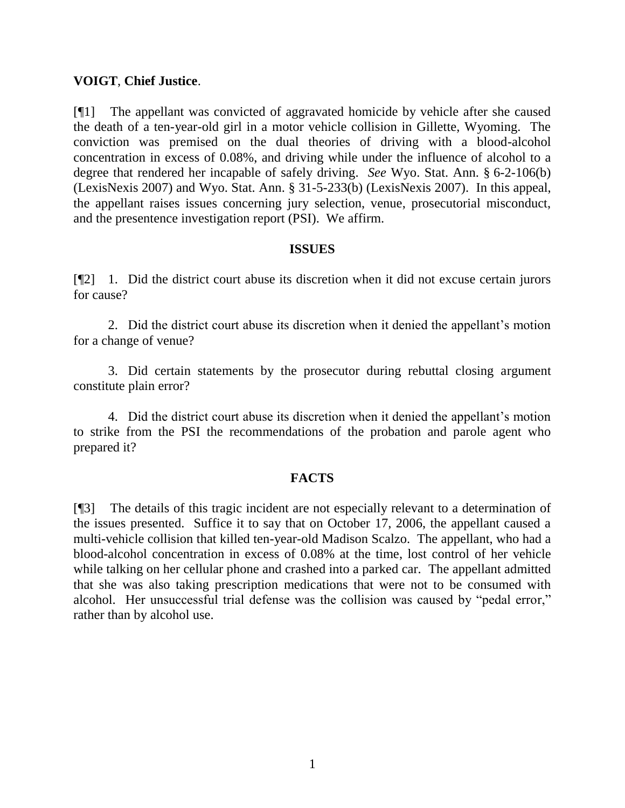### **VOIGT**, **Chief Justice**.

[¶1] The appellant was convicted of aggravated homicide by vehicle after she caused the death of a ten-year-old girl in a motor vehicle collision in Gillette, Wyoming. The conviction was premised on the dual theories of driving with a blood-alcohol concentration in excess of 0.08%, and driving while under the influence of alcohol to a degree that rendered her incapable of safely driving. *See* Wyo. Stat. Ann. § 6-2-106(b) (LexisNexis 2007) and Wyo. Stat. Ann. § 31-5-233(b) (LexisNexis 2007). In this appeal, the appellant raises issues concerning jury selection, venue, prosecutorial misconduct, and the presentence investigation report (PSI). We affirm.

### **ISSUES**

[¶2] 1. Did the district court abuse its discretion when it did not excuse certain jurors for cause?

2. Did the district court abuse its discretion when it denied the appellant"s motion for a change of venue?

3. Did certain statements by the prosecutor during rebuttal closing argument constitute plain error?

4. Did the district court abuse its discretion when it denied the appellant"s motion to strike from the PSI the recommendations of the probation and parole agent who prepared it?

### **FACTS**

[¶3] The details of this tragic incident are not especially relevant to a determination of the issues presented. Suffice it to say that on October 17, 2006, the appellant caused a multi-vehicle collision that killed ten-year-old Madison Scalzo. The appellant, who had a blood-alcohol concentration in excess of 0.08% at the time, lost control of her vehicle while talking on her cellular phone and crashed into a parked car. The appellant admitted that she was also taking prescription medications that were not to be consumed with alcohol. Her unsuccessful trial defense was the collision was caused by "pedal error," rather than by alcohol use.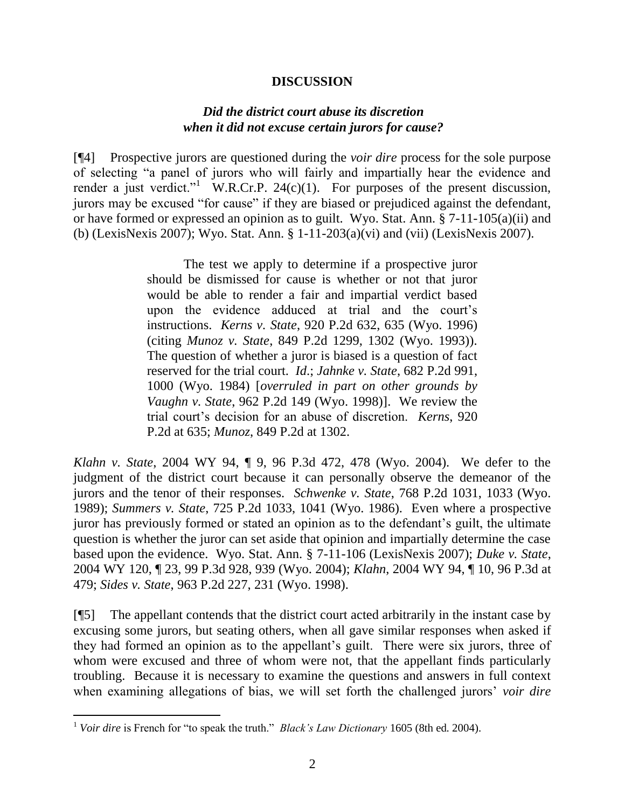#### **DISCUSSION**

### *Did the district court abuse its discretion when it did not excuse certain jurors for cause?*

[¶4] Prospective jurors are questioned during the *voir dire* process for the sole purpose of selecting "a panel of jurors who will fairly and impartially hear the evidence and render a just verdict." W.R.Cr.P. 24 $(c)(1)$ . For purposes of the present discussion, jurors may be excused "for cause" if they are biased or prejudiced against the defendant, or have formed or expressed an opinion as to guilt. Wyo. Stat. Ann. § 7-11-105(a)(ii) and (b) (LexisNexis 2007); Wyo. Stat. Ann. § 1-11-203(a)(vi) and (vii) (LexisNexis 2007).

> The test we apply to determine if a prospective juror should be dismissed for cause is whether or not that juror would be able to render a fair and impartial verdict based upon the evidence adduced at trial and the court"s instructions. *Kerns v. State*, 920 P.2d 632, 635 (Wyo. 1996) (citing *Munoz v. State*, 849 P.2d 1299, 1302 (Wyo. 1993)). The question of whether a juror is biased is a question of fact reserved for the trial court. *Id*.; *Jahnke v. State*, 682 P.2d 991, 1000 (Wyo. 1984) [*overruled in part on other grounds by Vaughn v. State*, 962 P.2d 149 (Wyo. 1998)]. We review the trial court"s decision for an abuse of discretion. *Kerns*, 920 P.2d at 635; *Munoz*, 849 P.2d at 1302.

*Klahn v. State*, 2004 WY 94, ¶ 9, 96 P.3d 472, 478 (Wyo. 2004). We defer to the judgment of the district court because it can personally observe the demeanor of the jurors and the tenor of their responses. *Schwenke v. State*, 768 P.2d 1031, 1033 (Wyo. 1989); *Summers v. State*, 725 P.2d 1033, 1041 (Wyo. 1986). Even where a prospective juror has previously formed or stated an opinion as to the defendant"s guilt, the ultimate question is whether the juror can set aside that opinion and impartially determine the case based upon the evidence. Wyo. Stat. Ann. § 7-11-106 (LexisNexis 2007); *Duke v. State*, 2004 WY 120, ¶ 23, 99 P.3d 928, 939 (Wyo. 2004); *Klahn*, 2004 WY 94, ¶ 10, 96 P.3d at 479; *Sides v. State*, 963 P.2d 227, 231 (Wyo. 1998).

[¶5] The appellant contends that the district court acted arbitrarily in the instant case by excusing some jurors, but seating others, when all gave similar responses when asked if they had formed an opinion as to the appellant"s guilt. There were six jurors, three of whom were excused and three of whom were not, that the appellant finds particularly troubling. Because it is necessary to examine the questions and answers in full context when examining allegations of bias, we will set forth the challenged jurors' *voir dire* 

 $\overline{a}$ 

<sup>&</sup>lt;sup>1</sup> *Voir dire* is French for "to speak the truth." *Black's Law Dictionary* 1605 (8th ed. 2004).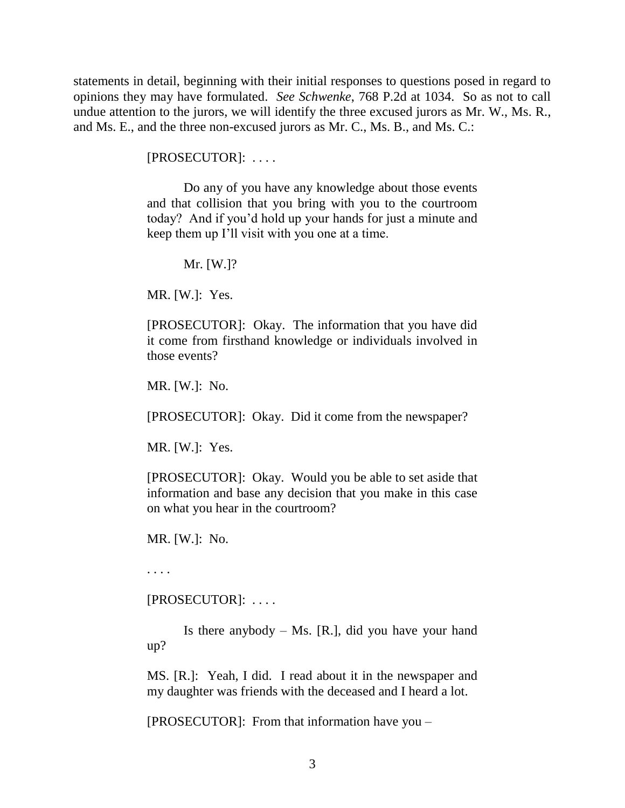statements in detail, beginning with their initial responses to questions posed in regard to opinions they may have formulated. *See Schwenke*, 768 P.2d at 1034. So as not to call undue attention to the jurors, we will identify the three excused jurors as Mr. W., Ms. R., and Ms. E., and the three non-excused jurors as Mr. C., Ms. B., and Ms. C.:

[PROSECUTOR]: . . . .

Do any of you have any knowledge about those events and that collision that you bring with you to the courtroom today? And if you"d hold up your hands for just a minute and keep them up I"ll visit with you one at a time.

Mr. [W.]?

MR. [W.]: Yes.

[PROSECUTOR]: Okay. The information that you have did it come from firsthand knowledge or individuals involved in those events?

MR. [W.]: No.

[PROSECUTOR]: Okay. Did it come from the newspaper?

MR. [W.]: Yes.

[PROSECUTOR]: Okay. Would you be able to set aside that information and base any decision that you make in this case on what you hear in the courtroom?

MR. [W.]: No.

. . . .

[PROSECUTOR]: . . . .

Is there anybody  $-$  Ms. [R.], did you have your hand up?

MS. [R.]: Yeah, I did. I read about it in the newspaper and my daughter was friends with the deceased and I heard a lot.

[PROSECUTOR]: From that information have you –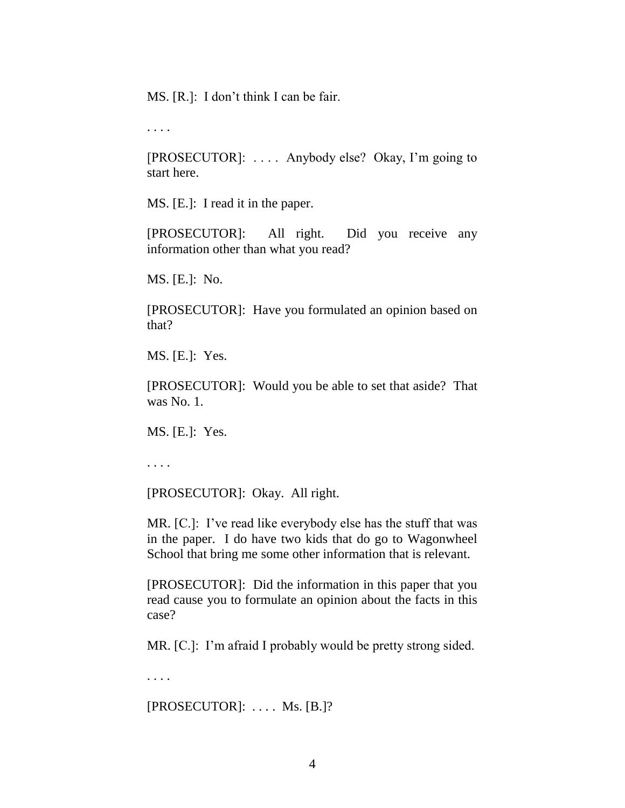MS. [R.]: I don't think I can be fair.

. . . .

[PROSECUTOR]: . . . . Anybody else? Okay, I"m going to start here.

MS. [E.]: I read it in the paper.

[PROSECUTOR]: All right. Did you receive any information other than what you read?

MS. [E.]: No.

[PROSECUTOR]: Have you formulated an opinion based on that?

MS. [E.]: Yes.

[PROSECUTOR]: Would you be able to set that aside? That was No. 1.

MS. [E.]: Yes.

. . . .

[PROSECUTOR]: Okay. All right.

MR. [C.]: I've read like everybody else has the stuff that was in the paper. I do have two kids that do go to Wagonwheel School that bring me some other information that is relevant.

[PROSECUTOR]: Did the information in this paper that you read cause you to formulate an opinion about the facts in this case?

MR. [C.]: I'm afraid I probably would be pretty strong sided.

. . . .

 $[PROSECTION: \ldots$  Ms.  $[B.]$ ?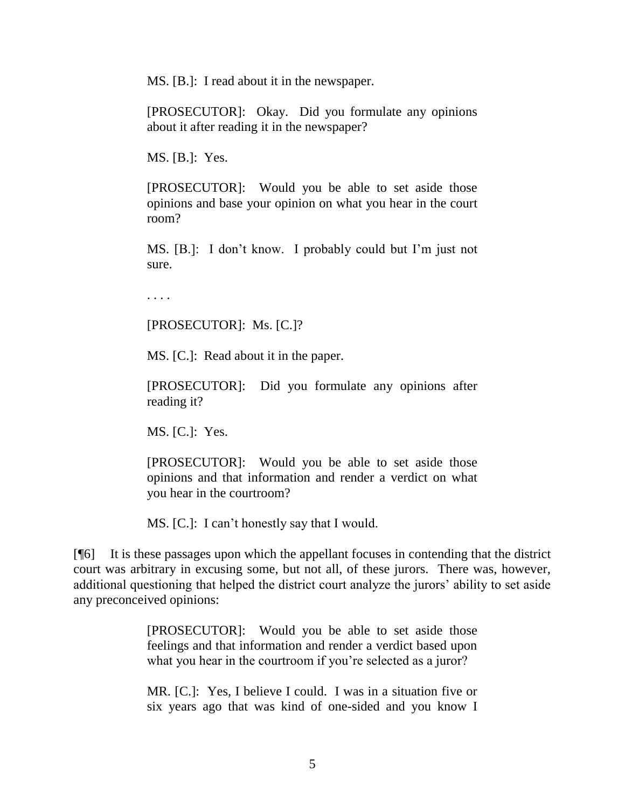MS. [B.]: I read about it in the newspaper.

[PROSECUTOR]: Okay. Did you formulate any opinions about it after reading it in the newspaper?

MS. [B.]: Yes.

[PROSECUTOR]: Would you be able to set aside those opinions and base your opinion on what you hear in the court room?

MS. [B.]: I don"t know. I probably could but I"m just not sure.

. . . .

[PROSECUTOR]: Ms. [C.]?

MS. [C.]: Read about it in the paper.

[PROSECUTOR]: Did you formulate any opinions after reading it?

MS. [C.]: Yes.

[PROSECUTOR]: Would you be able to set aside those opinions and that information and render a verdict on what you hear in the courtroom?

MS. [C.]: I can't honestly say that I would.

[¶6] It is these passages upon which the appellant focuses in contending that the district court was arbitrary in excusing some, but not all, of these jurors. There was, however, additional questioning that helped the district court analyze the jurors' ability to set aside any preconceived opinions:

> [PROSECUTOR]: Would you be able to set aside those feelings and that information and render a verdict based upon what you hear in the courtroom if you're selected as a juror?

> MR. [C.]: Yes, I believe I could. I was in a situation five or six years ago that was kind of one-sided and you know I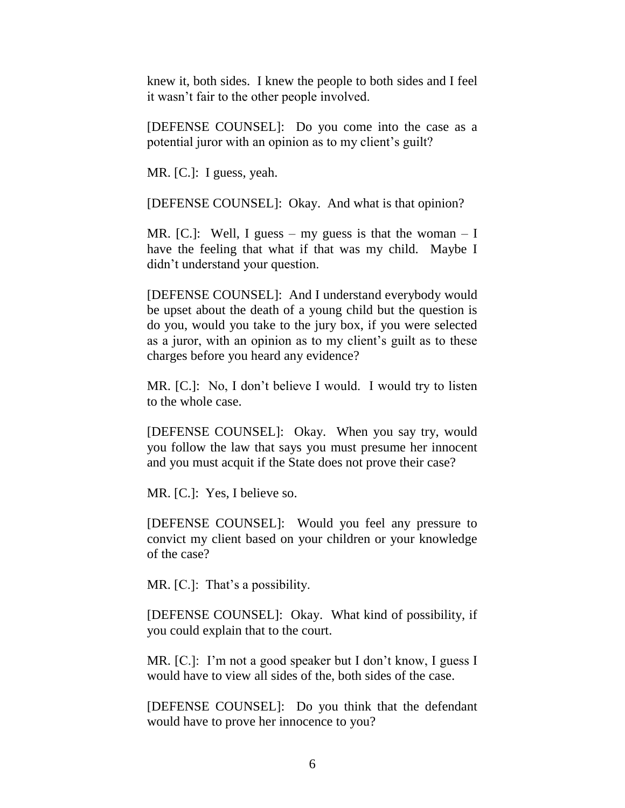knew it, both sides. I knew the people to both sides and I feel it wasn"t fair to the other people involved.

[DEFENSE COUNSEL]: Do you come into the case as a potential juror with an opinion as to my client"s guilt?

MR. [C.]: I guess, yeah.

[DEFENSE COUNSEL]: Okay. And what is that opinion?

MR. [C.]: Well, I guess – my guess is that the woman – I have the feeling that what if that was my child. Maybe I didn"t understand your question.

[DEFENSE COUNSEL]: And I understand everybody would be upset about the death of a young child but the question is do you, would you take to the jury box, if you were selected as a juror, with an opinion as to my client"s guilt as to these charges before you heard any evidence?

MR. [C.]: No, I don't believe I would. I would try to listen to the whole case.

[DEFENSE COUNSEL]: Okay. When you say try, would you follow the law that says you must presume her innocent and you must acquit if the State does not prove their case?

MR. [C.]: Yes, I believe so.

[DEFENSE COUNSEL]: Would you feel any pressure to convict my client based on your children or your knowledge of the case?

MR.  $[C.]:$  That's a possibility.

[DEFENSE COUNSEL]: Okay. What kind of possibility, if you could explain that to the court.

MR. [C.]: I'm not a good speaker but I don't know, I guess I would have to view all sides of the, both sides of the case.

[DEFENSE COUNSEL]: Do you think that the defendant would have to prove her innocence to you?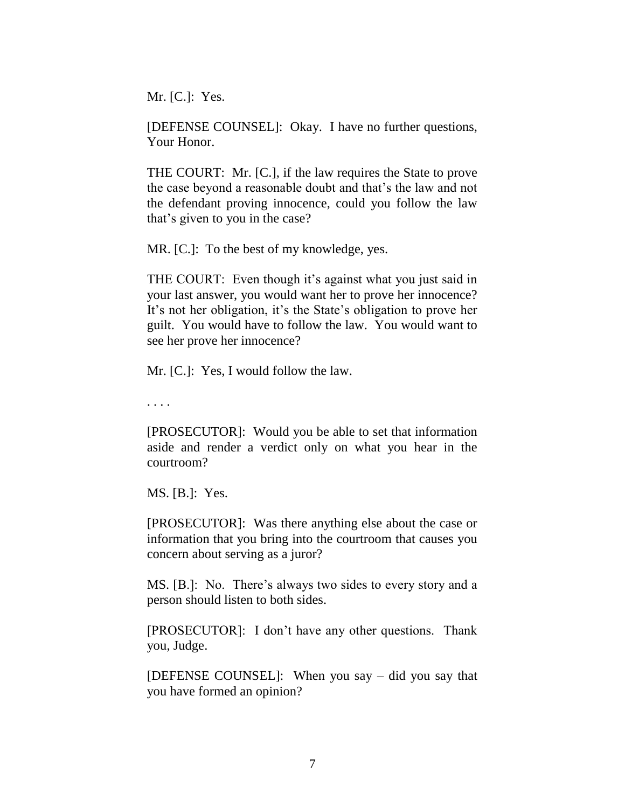Mr. [C.]: Yes.

[DEFENSE COUNSEL]: Okay. I have no further questions, Your Honor.

THE COURT: Mr. [C.], if the law requires the State to prove the case beyond a reasonable doubt and that"s the law and not the defendant proving innocence, could you follow the law that"s given to you in the case?

MR. [C.]: To the best of my knowledge, yes.

THE COURT: Even though it's against what you just said in your last answer, you would want her to prove her innocence? It's not her obligation, it's the State's obligation to prove her guilt. You would have to follow the law. You would want to see her prove her innocence?

Mr. [C.]: Yes, I would follow the law.

. . . .

[PROSECUTOR]: Would you be able to set that information aside and render a verdict only on what you hear in the courtroom?

MS. [B.]: Yes.

[PROSECUTOR]: Was there anything else about the case or information that you bring into the courtroom that causes you concern about serving as a juror?

MS. [B.]: No. There's always two sides to every story and a person should listen to both sides.

[PROSECUTOR]: I don"t have any other questions. Thank you, Judge.

[DEFENSE COUNSEL]: When you say – did you say that you have formed an opinion?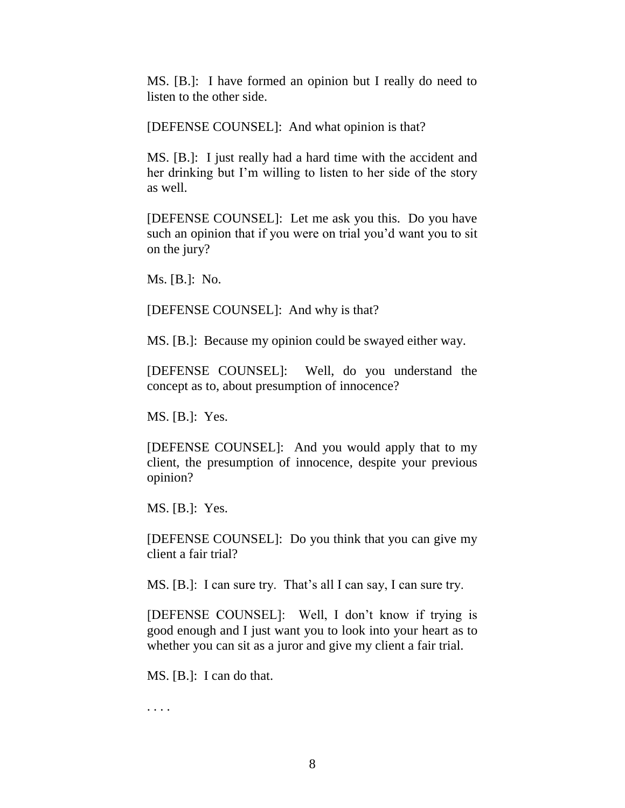MS. [B.]: I have formed an opinion but I really do need to listen to the other side.

[DEFENSE COUNSEL]: And what opinion is that?

MS. [B.]: I just really had a hard time with the accident and her drinking but I"m willing to listen to her side of the story as well.

[DEFENSE COUNSEL]: Let me ask you this. Do you have such an opinion that if you were on trial you"d want you to sit on the jury?

Ms. [B.]: No.

[DEFENSE COUNSEL]: And why is that?

MS. [B.]: Because my opinion could be swayed either way.

[DEFENSE COUNSEL]: Well, do you understand the concept as to, about presumption of innocence?

MS. [B.]: Yes.

[DEFENSE COUNSEL]: And you would apply that to my client, the presumption of innocence, despite your previous opinion?

MS. [B.]: Yes.

[DEFENSE COUNSEL]: Do you think that you can give my client a fair trial?

MS. [B.]: I can sure try. That's all I can say, I can sure try.

[DEFENSE COUNSEL]: Well, I don"t know if trying is good enough and I just want you to look into your heart as to whether you can sit as a juror and give my client a fair trial.

MS. [B.]: I can do that.

. . . .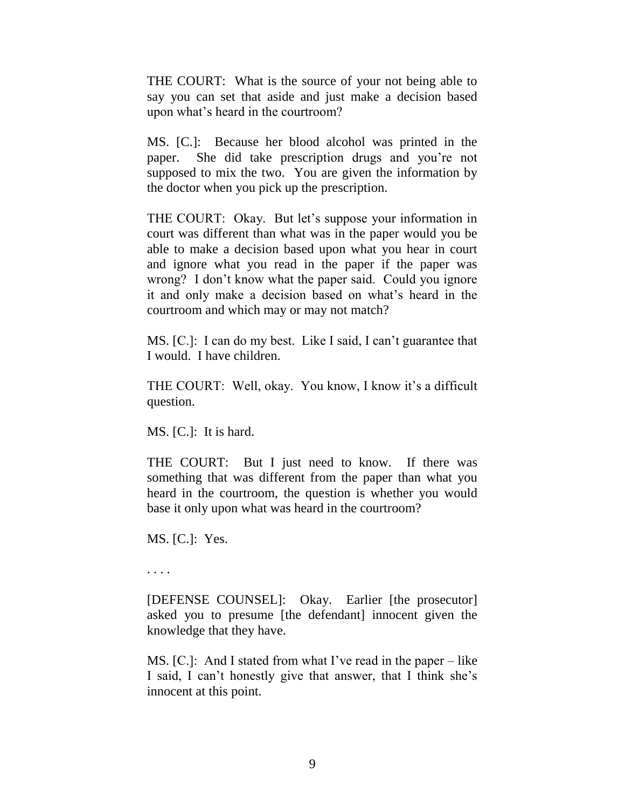THE COURT: What is the source of your not being able to say you can set that aside and just make a decision based upon what"s heard in the courtroom?

MS. [C.]: Because her blood alcohol was printed in the paper. She did take prescription drugs and you"re not supposed to mix the two. You are given the information by the doctor when you pick up the prescription.

THE COURT: Okay. But let's suppose your information in court was different than what was in the paper would you be able to make a decision based upon what you hear in court and ignore what you read in the paper if the paper was wrong? I don"t know what the paper said. Could you ignore it and only make a decision based on what"s heard in the courtroom and which may or may not match?

MS. [C.]: I can do my best. Like I said, I can't guarantee that I would. I have children.

THE COURT: Well, okay. You know, I know it's a difficult question.

MS. [C.]: It is hard.

THE COURT: But I just need to know. If there was something that was different from the paper than what you heard in the courtroom, the question is whether you would base it only upon what was heard in the courtroom?

MS. [C.]: Yes.

. . . .

[DEFENSE COUNSEL]: Okay. Earlier [the prosecutor] asked you to presume [the defendant] innocent given the knowledge that they have.

MS.  $[C.]:$  And I stated from what I've read in the paper – like I said, I can"t honestly give that answer, that I think she"s innocent at this point.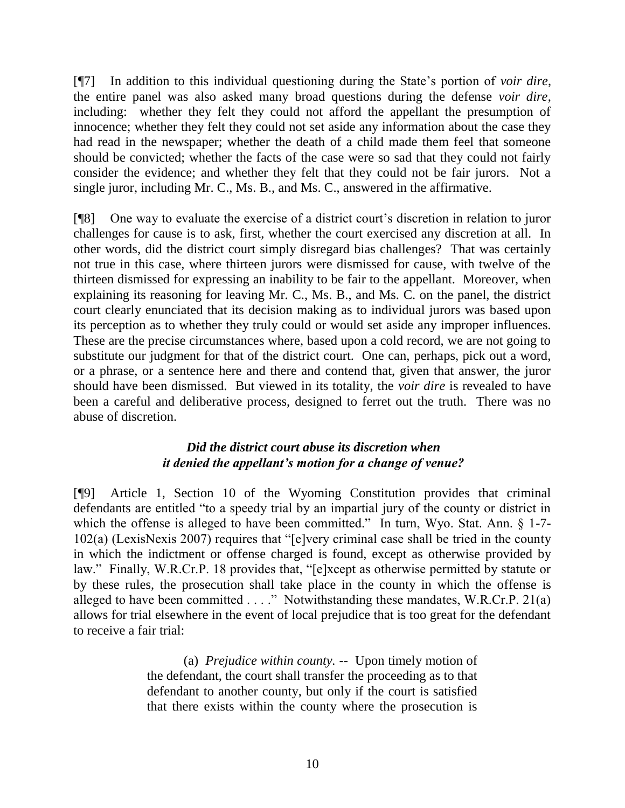[¶7] In addition to this individual questioning during the State"s portion of *voir dire*, the entire panel was also asked many broad questions during the defense *voir dire*, including: whether they felt they could not afford the appellant the presumption of innocence; whether they felt they could not set aside any information about the case they had read in the newspaper; whether the death of a child made them feel that someone should be convicted; whether the facts of the case were so sad that they could not fairly consider the evidence; and whether they felt that they could not be fair jurors. Not a single juror, including Mr. C., Ms. B., and Ms. C., answered in the affirmative.

[¶8] One way to evaluate the exercise of a district court"s discretion in relation to juror challenges for cause is to ask, first, whether the court exercised any discretion at all. In other words, did the district court simply disregard bias challenges? That was certainly not true in this case, where thirteen jurors were dismissed for cause, with twelve of the thirteen dismissed for expressing an inability to be fair to the appellant. Moreover, when explaining its reasoning for leaving Mr. C., Ms. B., and Ms. C. on the panel, the district court clearly enunciated that its decision making as to individual jurors was based upon its perception as to whether they truly could or would set aside any improper influences. These are the precise circumstances where, based upon a cold record, we are not going to substitute our judgment for that of the district court. One can, perhaps, pick out a word, or a phrase, or a sentence here and there and contend that, given that answer, the juror should have been dismissed. But viewed in its totality, the *voir dire* is revealed to have been a careful and deliberative process, designed to ferret out the truth. There was no abuse of discretion.

## *Did the district court abuse its discretion when it denied the appellant's motion for a change of venue?*

[¶9] Article 1, Section 10 of the Wyoming Constitution provides that criminal defendants are entitled "to a speedy trial by an impartial jury of the county or district in which the offense is alleged to have been committed." In turn, Wyo. Stat. Ann.  $\S$  1-7-102(a) (LexisNexis 2007) requires that "[e]very criminal case shall be tried in the county in which the indictment or offense charged is found, except as otherwise provided by law." Finally, W.R.Cr.P. 18 provides that, "[e]xcept as otherwise permitted by statute or by these rules, the prosecution shall take place in the county in which the offense is alleged to have been committed  $\dots$ ." Notwithstanding these mandates, W.R.Cr.P. 21(a) allows for trial elsewhere in the event of local prejudice that is too great for the defendant to receive a fair trial:

> (a) *Prejudice within county.* -- Upon timely motion of the defendant, the court shall transfer the proceeding as to that defendant to another county, but only if the court is satisfied that there exists within the county where the prosecution is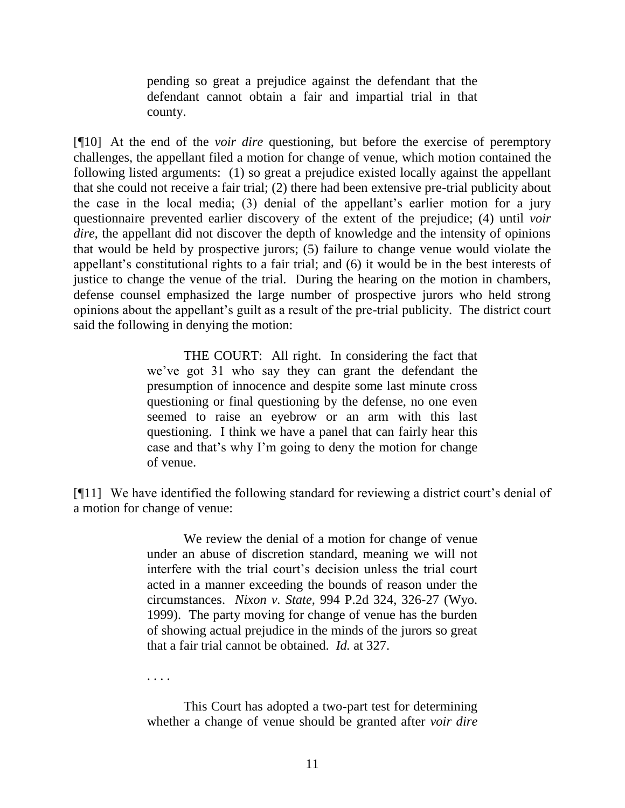pending so great a prejudice against the defendant that the defendant cannot obtain a fair and impartial trial in that county.

[¶10] At the end of the *voir dire* questioning, but before the exercise of peremptory challenges, the appellant filed a motion for change of venue, which motion contained the following listed arguments: (1) so great a prejudice existed locally against the appellant that she could not receive a fair trial; (2) there had been extensive pre-trial publicity about the case in the local media; (3) denial of the appellant"s earlier motion for a jury questionnaire prevented earlier discovery of the extent of the prejudice; (4) until *voir dire*, the appellant did not discover the depth of knowledge and the intensity of opinions that would be held by prospective jurors; (5) failure to change venue would violate the appellant's constitutional rights to a fair trial; and (6) it would be in the best interests of justice to change the venue of the trial. During the hearing on the motion in chambers, defense counsel emphasized the large number of prospective jurors who held strong opinions about the appellant"s guilt as a result of the pre-trial publicity. The district court said the following in denying the motion:

> THE COURT: All right. In considering the fact that we"ve got 31 who say they can grant the defendant the presumption of innocence and despite some last minute cross questioning or final questioning by the defense, no one even seemed to raise an eyebrow or an arm with this last questioning. I think we have a panel that can fairly hear this case and that"s why I"m going to deny the motion for change of venue.

[¶11] We have identified the following standard for reviewing a district court"s denial of a motion for change of venue:

> We review the denial of a motion for change of venue under an abuse of discretion standard, meaning we will not interfere with the trial court's decision unless the trial court acted in a manner exceeding the bounds of reason under the circumstances. *Nixon v. State*, 994 P.2d 324, 326-27 (Wyo. 1999). The party moving for change of venue has the burden of showing actual prejudice in the minds of the jurors so great that a fair trial cannot be obtained. *Id.* at 327.

. . . .

This Court has adopted a two-part test for determining whether a change of venue should be granted after *voir dire*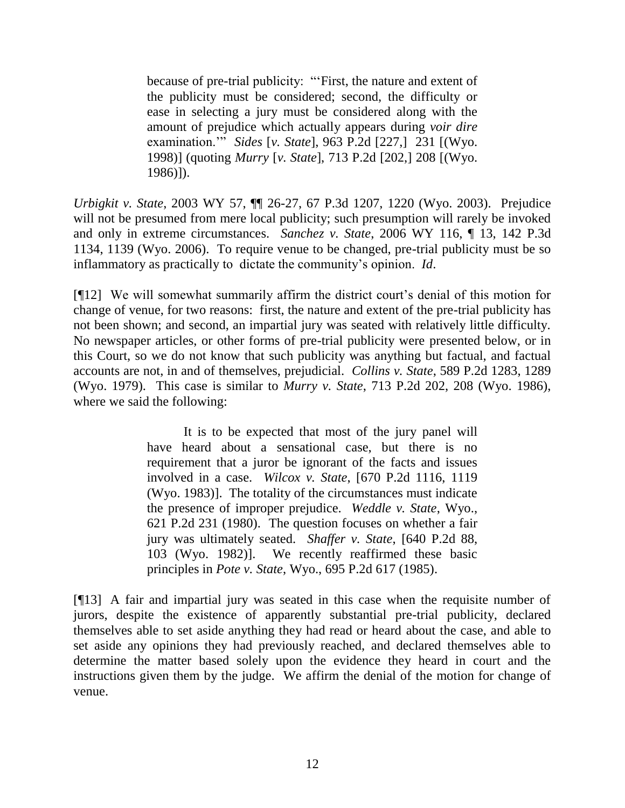because of pre-trial publicity: ""First, the nature and extent of the publicity must be considered; second, the difficulty or ease in selecting a jury must be considered along with the amount of prejudice which actually appears during *voir dire* examination."" *Sides* [*v. State*], 963 P.2d [227,] 231 [(Wyo. 1998)] (quoting *Murry* [*v. State*], 713 P.2d [202,] 208 [(Wyo. 1986)]).

*Urbigkit v. State*, 2003 WY 57, ¶¶ 26-27, 67 P.3d 1207, 1220 (Wyo. 2003). Prejudice will not be presumed from mere local publicity; such presumption will rarely be invoked and only in extreme circumstances. *Sanchez v. State*, 2006 WY 116, ¶ 13, 142 P.3d 1134, 1139 (Wyo. 2006). To require venue to be changed, pre-trial publicity must be so inflammatory as practically to dictate the community"s opinion. *Id*.

[¶12] We will somewhat summarily affirm the district court"s denial of this motion for change of venue, for two reasons: first, the nature and extent of the pre-trial publicity has not been shown; and second, an impartial jury was seated with relatively little difficulty. No newspaper articles, or other forms of pre-trial publicity were presented below, or in this Court, so we do not know that such publicity was anything but factual, and factual accounts are not, in and of themselves, prejudicial. *Collins v. State*, 589 P.2d 1283, 1289 (Wyo. 1979). This case is similar to *Murry v. State*, 713 P.2d 202, 208 (Wyo. 1986), where we said the following:

> It is to be expected that most of the jury panel will have heard about a sensational case, but there is no requirement that a juror be ignorant of the facts and issues involved in a case. *Wilcox v. State*, [670 P.2d 1116, 1119 (Wyo. 1983)]. The totality of the circumstances must indicate the presence of improper prejudice. *Weddle v. State*, Wyo., 621 P.2d 231 (1980). The question focuses on whether a fair jury was ultimately seated. *Shaffer v. State*, [640 P.2d 88, 103 (Wyo. 1982)]. We recently reaffirmed these basic principles in *Pote v. State*, Wyo., 695 P.2d 617 (1985).

[¶13] A fair and impartial jury was seated in this case when the requisite number of jurors, despite the existence of apparently substantial pre-trial publicity, declared themselves able to set aside anything they had read or heard about the case, and able to set aside any opinions they had previously reached, and declared themselves able to determine the matter based solely upon the evidence they heard in court and the instructions given them by the judge. We affirm the denial of the motion for change of venue.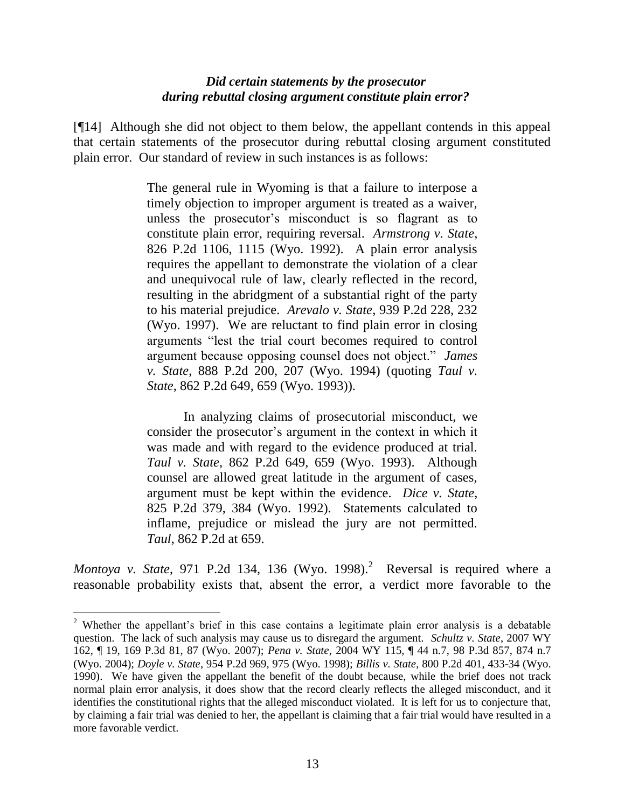## *Did certain statements by the prosecutor during rebuttal closing argument constitute plain error?*

[¶14] Although she did not object to them below, the appellant contends in this appeal that certain statements of the prosecutor during rebuttal closing argument constituted plain error. Our standard of review in such instances is as follows:

> The general rule in Wyoming is that a failure to interpose a timely objection to improper argument is treated as a waiver, unless the prosecutor"s misconduct is so flagrant as to constitute plain error, requiring reversal. *Armstrong v. State*, 826 P.2d 1106, 1115 (Wyo. 1992). A plain error analysis requires the appellant to demonstrate the violation of a clear and unequivocal rule of law, clearly reflected in the record, resulting in the abridgment of a substantial right of the party to his material prejudice. *Arevalo v. State*, 939 P.2d 228, 232 (Wyo. 1997). We are reluctant to find plain error in closing arguments "lest the trial court becomes required to control argument because opposing counsel does not object." *James v. State*, 888 P.2d 200, 207 (Wyo. 1994) (quoting *Taul v. State*, 862 P.2d 649, 659 (Wyo. 1993)).

> In analyzing claims of prosecutorial misconduct, we consider the prosecutor's argument in the context in which it was made and with regard to the evidence produced at trial. *Taul v. State*, 862 P.2d 649, 659 (Wyo. 1993). Although counsel are allowed great latitude in the argument of cases, argument must be kept within the evidence. *Dice v. State*, 825 P.2d 379, 384 (Wyo. 1992). Statements calculated to inflame, prejudice or mislead the jury are not permitted. *Taul*, 862 P.2d at 659.

*Montoya v. State*, 971 P.2d 134, 136 (Wyo. 1998).<sup>2</sup> Reversal is required where a reasonable probability exists that, absent the error, a verdict more favorable to the

 $\overline{a}$ 

<sup>&</sup>lt;sup>2</sup> Whether the appellant's brief in this case contains a legitimate plain error analysis is a debatable question. The lack of such analysis may cause us to disregard the argument. *Schultz v. State*, 2007 WY 162, ¶ 19, 169 P.3d 81, 87 (Wyo. 2007); *Pena v. State*, 2004 WY 115, ¶ 44 n.7, 98 P.3d 857, 874 n.7 (Wyo. 2004); *Doyle v. State*, 954 P.2d 969, 975 (Wyo. 1998); *Billis v. State*, 800 P.2d 401, 433-34 (Wyo. 1990). We have given the appellant the benefit of the doubt because, while the brief does not track normal plain error analysis, it does show that the record clearly reflects the alleged misconduct, and it identifies the constitutional rights that the alleged misconduct violated. It is left for us to conjecture that, by claiming a fair trial was denied to her, the appellant is claiming that a fair trial would have resulted in a more favorable verdict.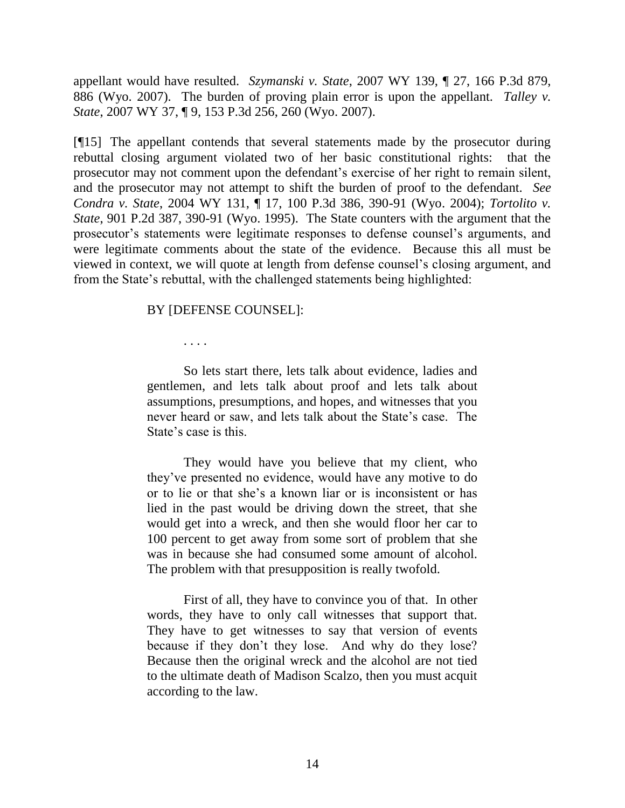appellant would have resulted. *Szymanski v. State*, 2007 WY 139, ¶ 27, 166 P.3d 879, 886 (Wyo. 2007). The burden of proving plain error is upon the appellant. *Talley v. State*, 2007 WY 37, ¶ 9, 153 P.3d 256, 260 (Wyo. 2007).

[¶15] The appellant contends that several statements made by the prosecutor during rebuttal closing argument violated two of her basic constitutional rights: that the prosecutor may not comment upon the defendant"s exercise of her right to remain silent, and the prosecutor may not attempt to shift the burden of proof to the defendant. *See Condra v. State*, 2004 WY 131, ¶ 17, 100 P.3d 386, 390-91 (Wyo. 2004); *Tortolito v. State*, 901 P.2d 387, 390-91 (Wyo. 1995). The State counters with the argument that the prosecutor"s statements were legitimate responses to defense counsel"s arguments, and were legitimate comments about the state of the evidence. Because this all must be viewed in context, we will quote at length from defense counsel"s closing argument, and from the State's rebuttal, with the challenged statements being highlighted:

### BY [DEFENSE COUNSEL]:

. . . .

So lets start there, lets talk about evidence, ladies and gentlemen, and lets talk about proof and lets talk about assumptions, presumptions, and hopes, and witnesses that you never heard or saw, and lets talk about the State's case. The State's case is this.

They would have you believe that my client, who they"ve presented no evidence, would have any motive to do or to lie or that she"s a known liar or is inconsistent or has lied in the past would be driving down the street, that she would get into a wreck, and then she would floor her car to 100 percent to get away from some sort of problem that she was in because she had consumed some amount of alcohol. The problem with that presupposition is really twofold.

First of all, they have to convince you of that. In other words, they have to only call witnesses that support that. They have to get witnesses to say that version of events because if they don"t they lose. And why do they lose? Because then the original wreck and the alcohol are not tied to the ultimate death of Madison Scalzo, then you must acquit according to the law.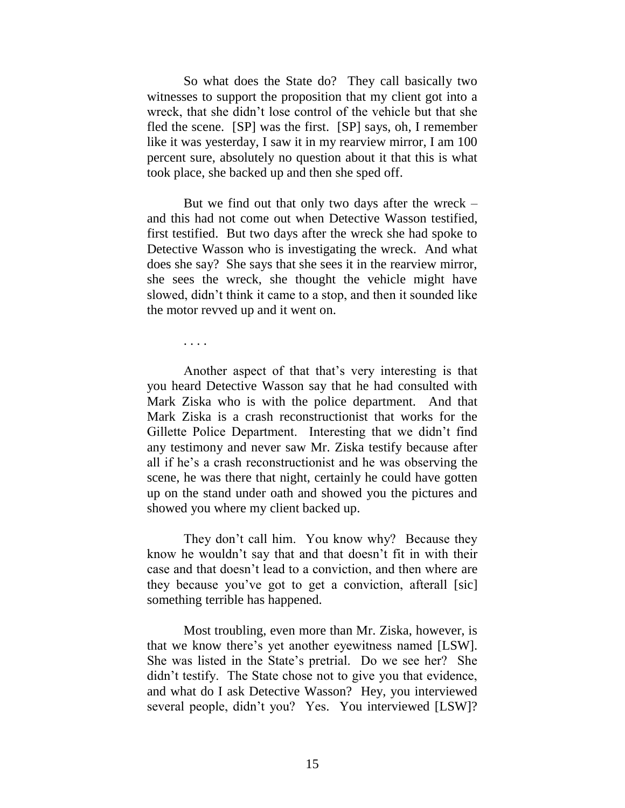So what does the State do? They call basically two witnesses to support the proposition that my client got into a wreck, that she didn"t lose control of the vehicle but that she fled the scene. [SP] was the first. [SP] says, oh, I remember like it was yesterday, I saw it in my rearview mirror, I am 100 percent sure, absolutely no question about it that this is what took place, she backed up and then she sped off.

But we find out that only two days after the wreck – and this had not come out when Detective Wasson testified, first testified. But two days after the wreck she had spoke to Detective Wasson who is investigating the wreck. And what does she say? She says that she sees it in the rearview mirror, she sees the wreck, she thought the vehicle might have slowed, didn"t think it came to a stop, and then it sounded like the motor revved up and it went on.

. . . .

Another aspect of that that"s very interesting is that you heard Detective Wasson say that he had consulted with Mark Ziska who is with the police department. And that Mark Ziska is a crash reconstructionist that works for the Gillette Police Department. Interesting that we didn"t find any testimony and never saw Mr. Ziska testify because after all if he"s a crash reconstructionist and he was observing the scene, he was there that night, certainly he could have gotten up on the stand under oath and showed you the pictures and showed you where my client backed up.

They don't call him. You know why? Because they know he wouldn"t say that and that doesn"t fit in with their case and that doesn"t lead to a conviction, and then where are they because you"ve got to get a conviction, afterall [sic] something terrible has happened.

Most troubling, even more than Mr. Ziska, however, is that we know there"s yet another eyewitness named [LSW]. She was listed in the State's pretrial. Do we see her? She didn"t testify. The State chose not to give you that evidence, and what do I ask Detective Wasson? Hey, you interviewed several people, didn't you? Yes. You interviewed [LSW]?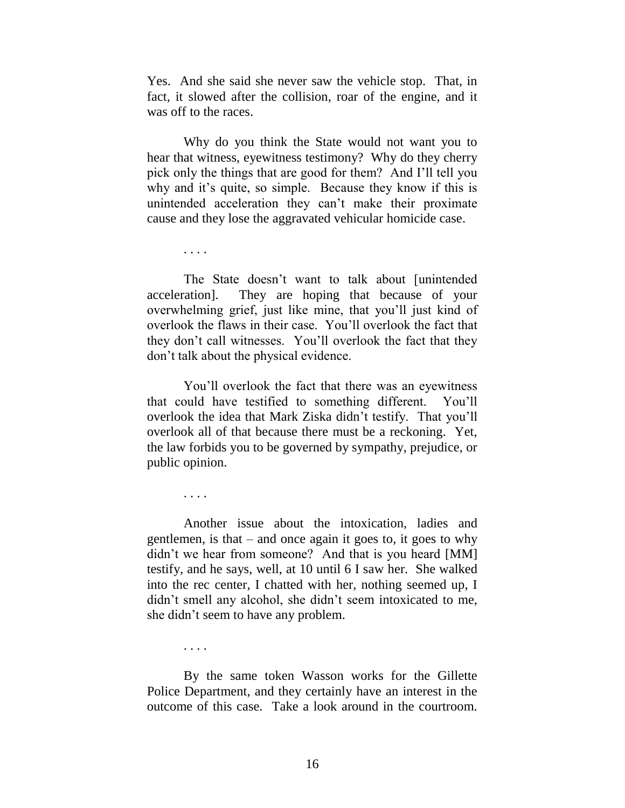Yes. And she said she never saw the vehicle stop. That, in fact, it slowed after the collision, roar of the engine, and it was off to the races.

Why do you think the State would not want you to hear that witness, eyewitness testimony? Why do they cherry pick only the things that are good for them? And I"ll tell you why and it's quite, so simple. Because they know if this is unintended acceleration they can"t make their proximate cause and they lose the aggravated vehicular homicide case.

. . . .

The State doesn"t want to talk about [unintended acceleration]. They are hoping that because of your overwhelming grief, just like mine, that you"ll just kind of overlook the flaws in their case. You"ll overlook the fact that they don"t call witnesses. You"ll overlook the fact that they don"t talk about the physical evidence.

You"ll overlook the fact that there was an eyewitness that could have testified to something different. You"ll overlook the idea that Mark Ziska didn"t testify. That you"ll overlook all of that because there must be a reckoning. Yet, the law forbids you to be governed by sympathy, prejudice, or public opinion.

. . . .

Another issue about the intoxication, ladies and gentlemen, is that – and once again it goes to, it goes to why didn't we hear from someone? And that is you heard [MM] testify, and he says, well, at 10 until 6 I saw her. She walked into the rec center, I chatted with her, nothing seemed up, I didn't smell any alcohol, she didn't seem intoxicated to me, she didn"t seem to have any problem.

. . . .

By the same token Wasson works for the Gillette Police Department, and they certainly have an interest in the outcome of this case. Take a look around in the courtroom.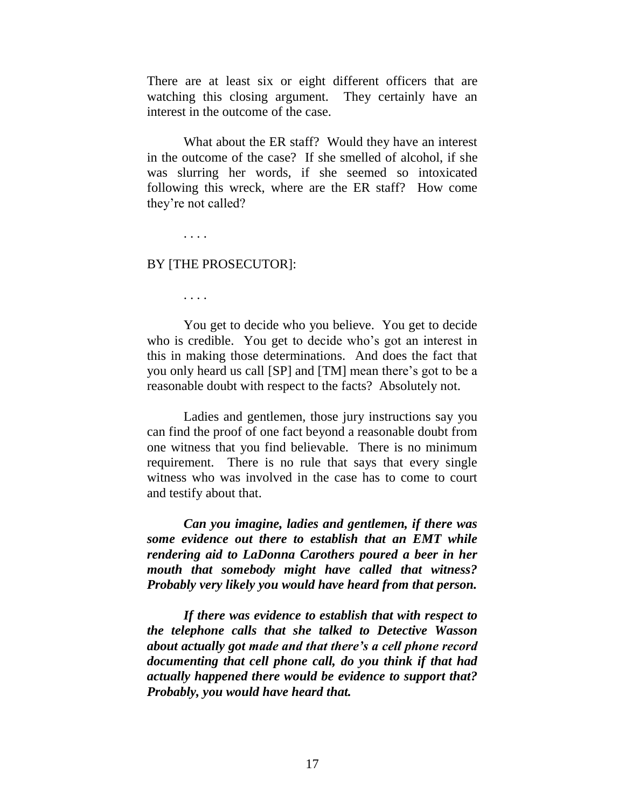There are at least six or eight different officers that are watching this closing argument. They certainly have an interest in the outcome of the case.

What about the ER staff? Would they have an interest in the outcome of the case? If she smelled of alcohol, if she was slurring her words, if she seemed so intoxicated following this wreck, where are the ER staff? How come they"re not called?

. . . .

#### BY [THE PROSECUTOR]:

. . . .

You get to decide who you believe. You get to decide who is credible. You get to decide who's got an interest in this in making those determinations. And does the fact that you only heard us call [SP] and [TM] mean there"s got to be a reasonable doubt with respect to the facts? Absolutely not.

Ladies and gentlemen, those jury instructions say you can find the proof of one fact beyond a reasonable doubt from one witness that you find believable. There is no minimum requirement. There is no rule that says that every single witness who was involved in the case has to come to court and testify about that.

*Can you imagine, ladies and gentlemen, if there was some evidence out there to establish that an EMT while rendering aid to LaDonna Carothers poured a beer in her mouth that somebody might have called that witness? Probably very likely you would have heard from that person.*

*If there was evidence to establish that with respect to the telephone calls that she talked to Detective Wasson about actually got made and that there's a cell phone record documenting that cell phone call, do you think if that had actually happened there would be evidence to support that? Probably, you would have heard that.*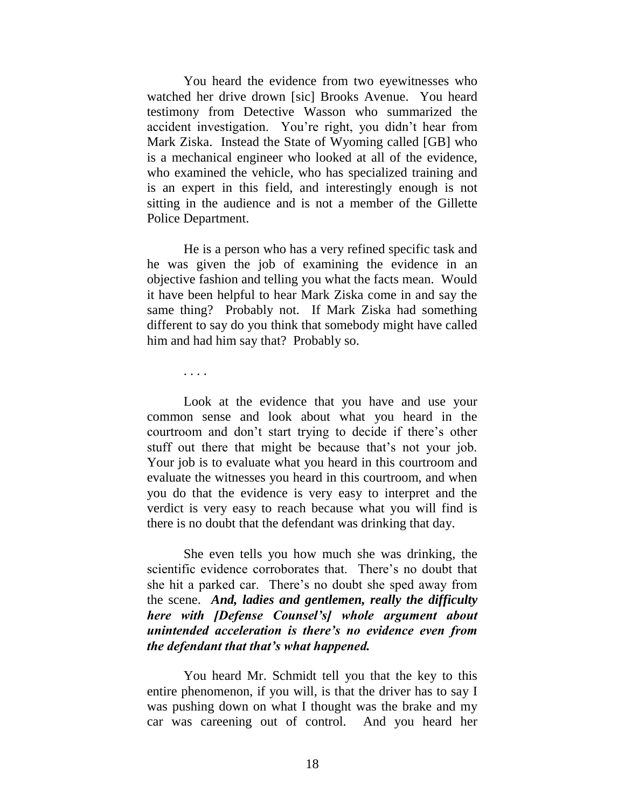You heard the evidence from two eyewitnesses who watched her drive drown [sic] Brooks Avenue. You heard testimony from Detective Wasson who summarized the accident investigation. You"re right, you didn"t hear from Mark Ziska. Instead the State of Wyoming called [GB] who is a mechanical engineer who looked at all of the evidence, who examined the vehicle, who has specialized training and is an expert in this field, and interestingly enough is not sitting in the audience and is not a member of the Gillette Police Department.

He is a person who has a very refined specific task and he was given the job of examining the evidence in an objective fashion and telling you what the facts mean. Would it have been helpful to hear Mark Ziska come in and say the same thing? Probably not. If Mark Ziska had something different to say do you think that somebody might have called him and had him say that? Probably so.

. . . .

Look at the evidence that you have and use your common sense and look about what you heard in the courtroom and don"t start trying to decide if there"s other stuff out there that might be because that's not your job. Your job is to evaluate what you heard in this courtroom and evaluate the witnesses you heard in this courtroom, and when you do that the evidence is very easy to interpret and the verdict is very easy to reach because what you will find is there is no doubt that the defendant was drinking that day.

She even tells you how much she was drinking, the scientific evidence corroborates that. There"s no doubt that she hit a parked car. There"s no doubt she sped away from the scene. *And, ladies and gentlemen, really the difficulty here with [Defense Counsel's] whole argument about unintended acceleration is there's no evidence even from the defendant that that's what happened.*

You heard Mr. Schmidt tell you that the key to this entire phenomenon, if you will, is that the driver has to say I was pushing down on what I thought was the brake and my car was careening out of control. And you heard her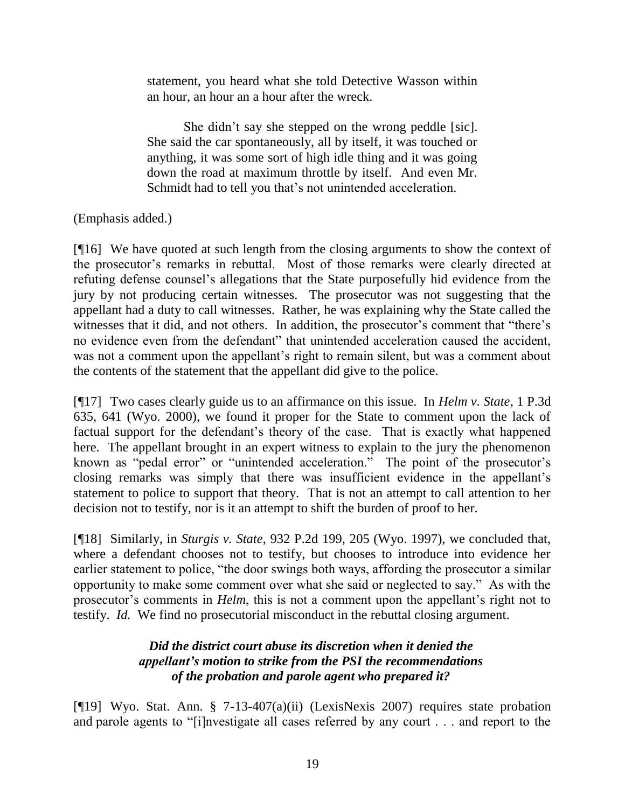statement, you heard what she told Detective Wasson within an hour, an hour an a hour after the wreck.

She didn"t say she stepped on the wrong peddle [sic]. She said the car spontaneously, all by itself, it was touched or anything, it was some sort of high idle thing and it was going down the road at maximum throttle by itself. And even Mr. Schmidt had to tell you that's not unintended acceleration.

# (Emphasis added.)

[¶16] We have quoted at such length from the closing arguments to show the context of the prosecutor"s remarks in rebuttal. Most of those remarks were clearly directed at refuting defense counsel"s allegations that the State purposefully hid evidence from the jury by not producing certain witnesses. The prosecutor was not suggesting that the appellant had a duty to call witnesses. Rather, he was explaining why the State called the witnesses that it did, and not others. In addition, the prosecutor's comment that "there's no evidence even from the defendant" that unintended acceleration caused the accident, was not a comment upon the appellant's right to remain silent, but was a comment about the contents of the statement that the appellant did give to the police.

[¶17] Two cases clearly guide us to an affirmance on this issue. In *Helm v. State*, 1 P.3d 635, 641 (Wyo. 2000), we found it proper for the State to comment upon the lack of factual support for the defendant's theory of the case. That is exactly what happened here. The appellant brought in an expert witness to explain to the jury the phenomenon known as "pedal error" or "unintended acceleration." The point of the prosecutor's closing remarks was simply that there was insufficient evidence in the appellant"s statement to police to support that theory. That is not an attempt to call attention to her decision not to testify, nor is it an attempt to shift the burden of proof to her.

[¶18] Similarly, in *Sturgis v. State*, 932 P.2d 199, 205 (Wyo. 1997), we concluded that, where a defendant chooses not to testify, but chooses to introduce into evidence her earlier statement to police, "the door swings both ways, affording the prosecutor a similar opportunity to make some comment over what she said or neglected to say." As with the prosecutor's comments in *Helm*, this is not a comment upon the appellant's right not to testify. *Id.* We find no prosecutorial misconduct in the rebuttal closing argument.

# *Did the district court abuse its discretion when it denied the appellant's motion to strike from the PSI the recommendations of the probation and parole agent who prepared it?*

[¶19] Wyo. Stat. Ann. § 7-13-407(a)(ii) (LexisNexis 2007) requires state probation and parole agents to "[i]nvestigate all cases referred by any court . . . and report to the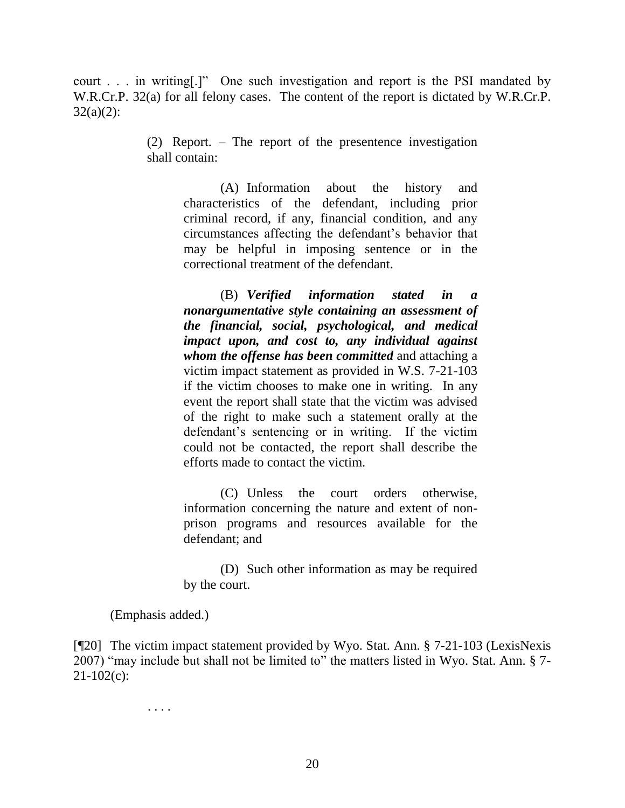court . . . in writing[.]" One such investigation and report is the PSI mandated by W.R.Cr.P. 32(a) for all felony cases. The content of the report is dictated by W.R.Cr.P.  $32(a)(2)$ :

> (2) Report. – The report of the presentence investigation shall contain:

> > (A) Information about the history and characteristics of the defendant, including prior criminal record, if any, financial condition, and any circumstances affecting the defendant"s behavior that may be helpful in imposing sentence or in the correctional treatment of the defendant.

> > (B) *Verified information stated in a nonargumentative style containing an assessment of the financial, social, psychological, and medical impact upon, and cost to, any individual against whom the offense has been committed* and attaching a victim impact statement as provided in W.S. 7-21-103 if the victim chooses to make one in writing. In any event the report shall state that the victim was advised of the right to make such a statement orally at the defendant's sentencing or in writing. If the victim could not be contacted, the report shall describe the efforts made to contact the victim.

> > (C) Unless the court orders otherwise, information concerning the nature and extent of nonprison programs and resources available for the defendant; and

> > (D) Such other information as may be required by the court.

(Emphasis added.)

[¶20] The victim impact statement provided by Wyo. Stat. Ann. § 7-21-103 (LexisNexis 2007) "may include but shall not be limited to" the matters listed in Wyo. Stat. Ann. § 7-  $21-102(c)$ :

. . . .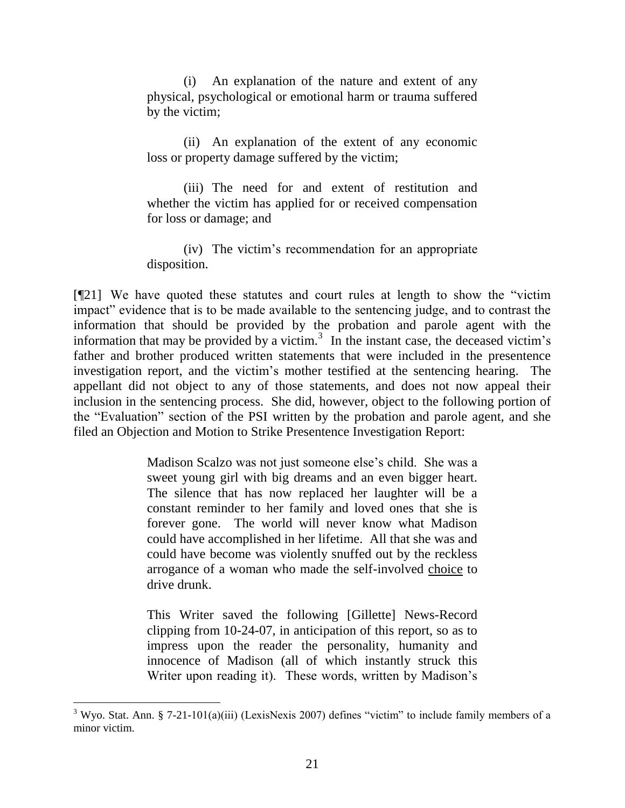(i) An explanation of the nature and extent of any physical, psychological or emotional harm or trauma suffered by the victim;

(ii) An explanation of the extent of any economic loss or property damage suffered by the victim;

(iii) The need for and extent of restitution and whether the victim has applied for or received compensation for loss or damage; and

(iv) The victim"s recommendation for an appropriate disposition.

[¶21] We have quoted these statutes and court rules at length to show the "victim impact" evidence that is to be made available to the sentencing judge, and to contrast the information that should be provided by the probation and parole agent with the information that may be provided by a victim.<sup>3</sup> In the instant case, the deceased victim's father and brother produced written statements that were included in the presentence investigation report, and the victim"s mother testified at the sentencing hearing. The appellant did not object to any of those statements, and does not now appeal their inclusion in the sentencing process. She did, however, object to the following portion of the "Evaluation" section of the PSI written by the probation and parole agent, and she filed an Objection and Motion to Strike Presentence Investigation Report:

> Madison Scalzo was not just someone else"s child. She was a sweet young girl with big dreams and an even bigger heart. The silence that has now replaced her laughter will be a constant reminder to her family and loved ones that she is forever gone. The world will never know what Madison could have accomplished in her lifetime. All that she was and could have become was violently snuffed out by the reckless arrogance of a woman who made the self-involved choice to drive drunk.

> This Writer saved the following [Gillette] News-Record clipping from 10-24-07, in anticipation of this report, so as to impress upon the reader the personality, humanity and innocence of Madison (all of which instantly struck this Writer upon reading it). These words, written by Madison's

 $3$  Wyo. Stat. Ann. § 7-21-101(a)(iii) (LexisNexis 2007) defines "victim" to include family members of a minor victim.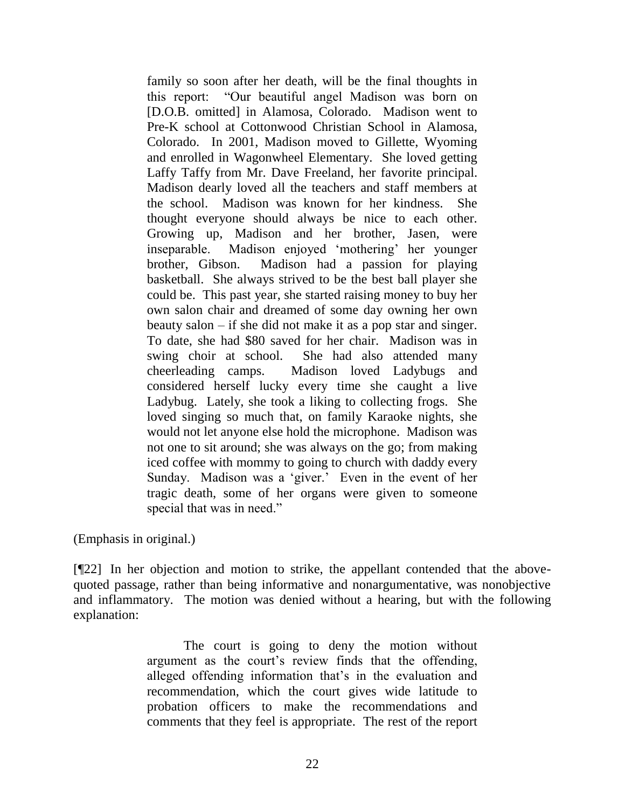family so soon after her death, will be the final thoughts in this report: "Our beautiful angel Madison was born on [D.O.B. omitted] in Alamosa, Colorado. Madison went to Pre-K school at Cottonwood Christian School in Alamosa, Colorado. In 2001, Madison moved to Gillette, Wyoming and enrolled in Wagonwheel Elementary. She loved getting Laffy Taffy from Mr. Dave Freeland, her favorite principal. Madison dearly loved all the teachers and staff members at the school. Madison was known for her kindness. She thought everyone should always be nice to each other. Growing up, Madison and her brother, Jasen, were inseparable. Madison enjoyed 'mothering' her younger brother, Gibson. Madison had a passion for playing basketball. She always strived to be the best ball player she could be. This past year, she started raising money to buy her own salon chair and dreamed of some day owning her own beauty salon – if she did not make it as a pop star and singer. To date, she had \$80 saved for her chair. Madison was in swing choir at school. She had also attended many cheerleading camps. Madison loved Ladybugs and considered herself lucky every time she caught a live Ladybug. Lately, she took a liking to collecting frogs. She loved singing so much that, on family Karaoke nights, she would not let anyone else hold the microphone. Madison was not one to sit around; she was always on the go; from making iced coffee with mommy to going to church with daddy every Sunday. Madison was a 'giver.' Even in the event of her tragic death, some of her organs were given to someone special that was in need."

(Emphasis in original.)

[¶22] In her objection and motion to strike, the appellant contended that the abovequoted passage, rather than being informative and nonargumentative, was nonobjective and inflammatory. The motion was denied without a hearing, but with the following explanation:

> The court is going to deny the motion without argument as the court's review finds that the offending, alleged offending information that"s in the evaluation and recommendation, which the court gives wide latitude to probation officers to make the recommendations and comments that they feel is appropriate. The rest of the report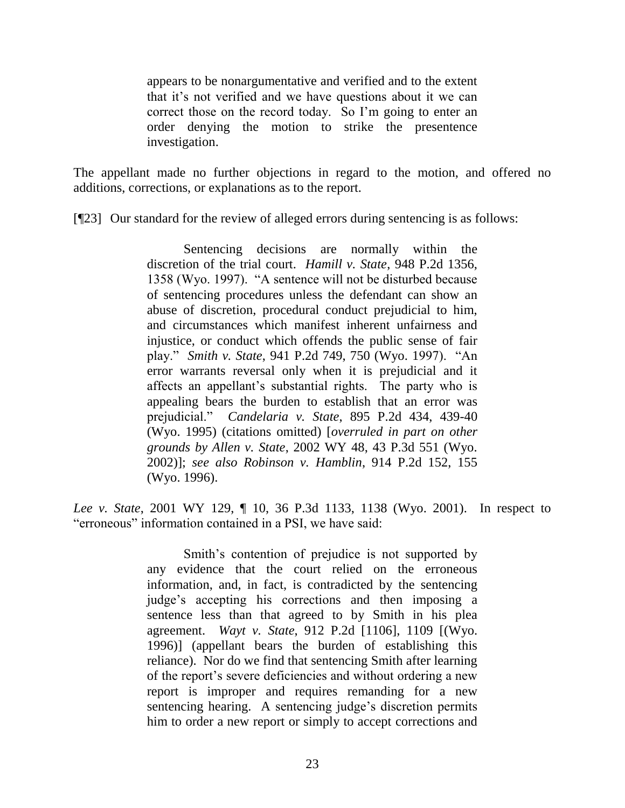appears to be nonargumentative and verified and to the extent that it"s not verified and we have questions about it we can correct those on the record today. So I"m going to enter an order denying the motion to strike the presentence investigation.

The appellant made no further objections in regard to the motion, and offered no additions, corrections, or explanations as to the report.

[¶23] Our standard for the review of alleged errors during sentencing is as follows:

Sentencing decisions are normally within the discretion of the trial court. *Hamill v. State*, 948 P.2d 1356, 1358 (Wyo. 1997). "A sentence will not be disturbed because of sentencing procedures unless the defendant can show an abuse of discretion, procedural conduct prejudicial to him, and circumstances which manifest inherent unfairness and injustice, or conduct which offends the public sense of fair play." *Smith v. State*, 941 P.2d 749, 750 (Wyo. 1997). "An error warrants reversal only when it is prejudicial and it affects an appellant"s substantial rights. The party who is appealing bears the burden to establish that an error was prejudicial." *Candelaria v. State*, 895 P.2d 434, 439-40 (Wyo. 1995) (citations omitted) [*overruled in part on other grounds by Allen v. State*, 2002 WY 48, 43 P.3d 551 (Wyo. 2002)]; *see also Robinson v. Hamblin*, 914 P.2d 152, 155 (Wyo. 1996).

*Lee v. State*, 2001 WY 129, ¶ 10, 36 P.3d 1133, 1138 (Wyo. 2001). In respect to "erroneous" information contained in a PSI, we have said:

> Smith's contention of prejudice is not supported by any evidence that the court relied on the erroneous information, and, in fact, is contradicted by the sentencing judge"s accepting his corrections and then imposing a sentence less than that agreed to by Smith in his plea agreement. *Wayt v. State*, 912 P.2d [1106], 1109 [(Wyo. 1996)] (appellant bears the burden of establishing this reliance). Nor do we find that sentencing Smith after learning of the report"s severe deficiencies and without ordering a new report is improper and requires remanding for a new sentencing hearing. A sentencing judge's discretion permits him to order a new report or simply to accept corrections and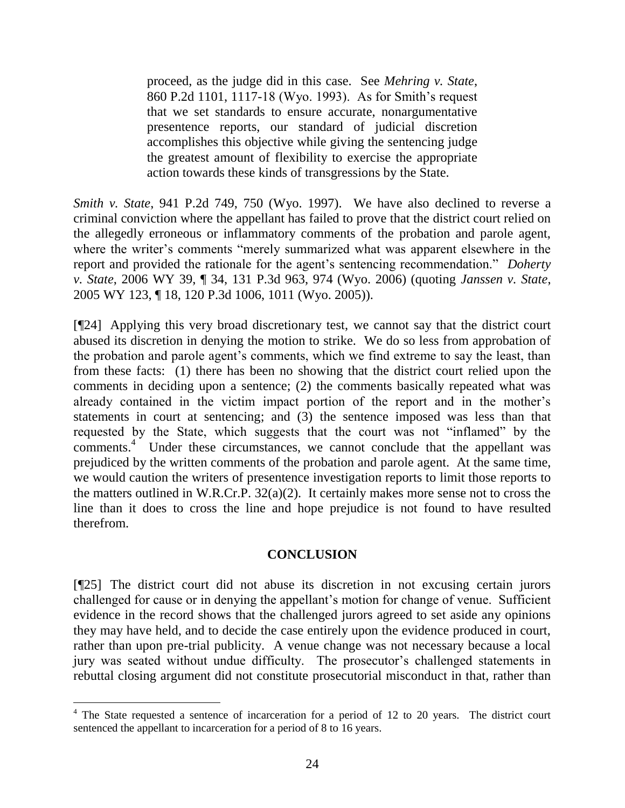proceed, as the judge did in this case. See *Mehring v. State*, 860 P.2d 1101, 1117-18 (Wyo. 1993). As for Smith"s request that we set standards to ensure accurate, nonargumentative presentence reports, our standard of judicial discretion accomplishes this objective while giving the sentencing judge the greatest amount of flexibility to exercise the appropriate action towards these kinds of transgressions by the State.

*Smith v. State*, 941 P.2d 749, 750 (Wyo. 1997). We have also declined to reverse a criminal conviction where the appellant has failed to prove that the district court relied on the allegedly erroneous or inflammatory comments of the probation and parole agent, where the writer's comments "merely summarized what was apparent elsewhere in the report and provided the rationale for the agent's sentencing recommendation." *Doherty v. State*, 2006 WY 39, ¶ 34, 131 P.3d 963, 974 (Wyo. 2006) (quoting *Janssen v. State*, 2005 WY 123, ¶ 18, 120 P.3d 1006, 1011 (Wyo. 2005)).

[¶24] Applying this very broad discretionary test, we cannot say that the district court abused its discretion in denying the motion to strike. We do so less from approbation of the probation and parole agent"s comments, which we find extreme to say the least, than from these facts: (1) there has been no showing that the district court relied upon the comments in deciding upon a sentence; (2) the comments basically repeated what was already contained in the victim impact portion of the report and in the mother"s statements in court at sentencing; and (3) the sentence imposed was less than that requested by the State, which suggests that the court was not "inflamed" by the comments.<sup>4</sup> Under these circumstances, we cannot conclude that the appellant was prejudiced by the written comments of the probation and parole agent. At the same time, we would caution the writers of presentence investigation reports to limit those reports to the matters outlined in W.R.Cr.P. 32(a)(2). It certainly makes more sense not to cross the line than it does to cross the line and hope prejudice is not found to have resulted therefrom.

## **CONCLUSION**

[¶25] The district court did not abuse its discretion in not excusing certain jurors challenged for cause or in denying the appellant"s motion for change of venue. Sufficient evidence in the record shows that the challenged jurors agreed to set aside any opinions they may have held, and to decide the case entirely upon the evidence produced in court, rather than upon pre-trial publicity. A venue change was not necessary because a local jury was seated without undue difficulty. The prosecutor's challenged statements in rebuttal closing argument did not constitute prosecutorial misconduct in that, rather than

<sup>&</sup>lt;sup>4</sup> The State requested a sentence of incarceration for a period of 12 to 20 years. The district court sentenced the appellant to incarceration for a period of 8 to 16 years.